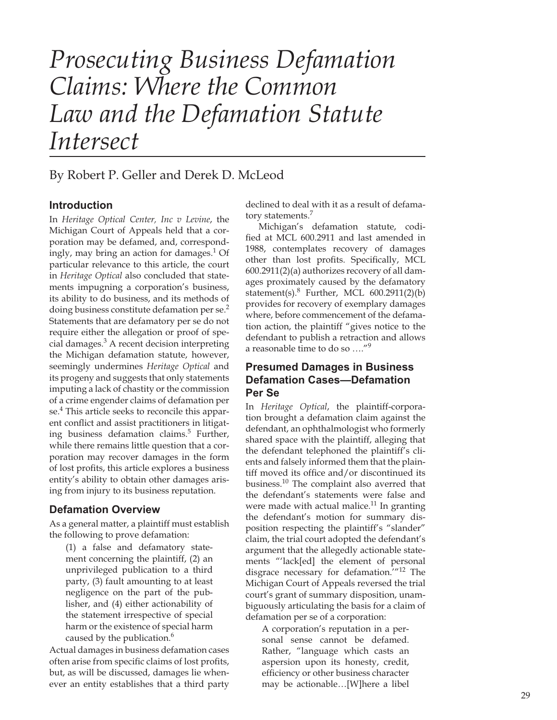# *Prosecuting Business Defamation Claims: Where the Common Law and the Defamation Statute Intersect*

## By Robert P. Geller and Derek D. McLeod

#### **Introduction**

In *Heritage Optical Center, Inc v Levine*, the Michigan Court of Appeals held that a corporation may be defamed, and, correspondingly, may bring an action for damages.<sup>1</sup> Of particular relevance to this article, the court in *Heritage Optical* also concluded that statements impugning a corporation's business, its ability to do business, and its methods of doing business constitute defamation per se.<sup>2</sup> Statements that are defamatory per se do not require either the allegation or proof of special damages.<sup>3</sup> A recent decision interpreting the Michigan defamation statute, however, seemingly undermines *Heritage Optical* and its progeny and suggests that only statements imputing a lack of chastity or the commission of a crime engender claims of defamation per se. 4 This article seeks to reconcile this apparent conflict and assist practitioners in litigating business defamation claims.<sup>5</sup> Further, while there remains little question that a corporation may recover damages in the form of lost profits, this article explores a business entity's ability to obtain other damages arising from injury to its business reputation.

#### **Defamation Overview**

As a general matter, a plaintiff must establish the following to prove defamation:

(1) a false and defamatory statement concerning the plaintiff, (2) an unprivileged publication to a third party, (3) fault amounting to at least negligence on the part of the publisher, and (4) either actionability of the statement irrespective of special harm or the existence of special harm caused by the publication. $^6$ 

Actual damages in business defamation cases often arise from specific claims of lost profits, but, as will be discussed, damages lie whenever an entity establishes that a third party declined to deal with it as a result of defamatory statements.<sup>7</sup>

Michigan's defamation statute, codified at MCL 600.2911 and last amended in 1988, contemplates recovery of damages other than lost profits. Specifically, MCL 600.2911(2)(a) authorizes recovery of all damages proximately caused by the defamatory statement(s). $8$  Further, MCL 600.2911(2)(b) provides for recovery of exemplary damages where, before commencement of the defamation action, the plaintiff "gives notice to the defendant to publish a retraction and allows a reasonable time to do so ...."<sup>9</sup>

#### **Presumed Damages in Business Defamation Cases—Defamation Per Se**

In *Heritage Optical*, the plaintiff-corporation brought a defamation claim against the defendant, an ophthalmologist who formerly shared space with the plaintiff, alleging that the defendant telephoned the plaintiff's clients and falsely informed them that the plaintiff moved its office and/or discontinued its business.10 The complaint also averred that the defendant's statements were false and were made with actual malice.<sup>11</sup> In granting the defendant's motion for summary disposition respecting the plaintiff's "slander" claim, the trial court adopted the defendant's argument that the allegedly actionable statements "'lack[ed] the element of personal disgrace necessary for defamation.'"12 The Michigan Court of Appeals reversed the trial court's grant of summary disposition, unambiguously articulating the basis for a claim of defamation per se of a corporation:

A corporation's reputation in a personal sense cannot be defamed. Rather, "language which casts an aspersion upon its honesty, credit, efficiency or other business character may be actionable…[W]here a libel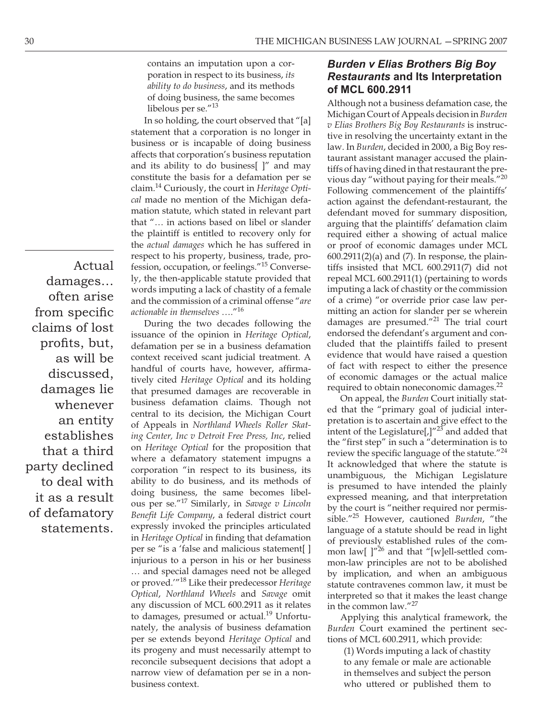contains an imputation upon a corporation in respect to its business, *its ability to do business*, and its methods of doing business, the same becomes libelous per se."<sup>13</sup>

In so holding, the court observed that "[a] statement that a corporation is no longer in business or is incapable of doing business affects that corporation's business reputation and its ability to do business[ ]" and may constitute the basis for a defamation per se claim.14 Curiously, the court in *Heritage Optical* made no mention of the Michigan defamation statute, which stated in relevant part that "… in actions based on libel or slander the plaintiff is entitled to recovery only for the *actual damages* which he has suffered in respect to his property, business, trade, profession, occupation, or feelings."15 Conversely, the then-applicable statute provided that words imputing a lack of chastity of a female and the commission of a criminal offense "*are actionable in themselves* …."16

During the two decades following the issuance of the opinion in *Heritage Optical*, defamation per se in a business defamation context received scant judicial treatment. A handful of courts have, however, affirmatively cited *Heritage Optical* and its holding that presumed damages are recoverable in business defamation claims. Though not central to its decision, the Michigan Court of Appeals in *Northland Wheels Roller Skating Center, Inc v Detroit Free Press, Inc*, relied on *Heritage Optical* for the proposition that where a defamatory statement impugns a corporation "in respect to its business, its ability to do business, and its methods of doing business, the same becomes libelous per se."17 Similarly, in *Savage v Lincoln*  Benefit Life Company, a federal district court expressly invoked the principles articulated in *Heritage Optical* in finding that defamation per se "is a 'false and malicious statement[ ] injurious to a person in his or her business … and special damages need not be alleged or proved.'"18 Like their predecessor *Heritage Optical*, *Northland Wheels* and *Savage* omit any discussion of MCL 600.2911 as it relates to damages, presumed or actual.<sup>19</sup> Unfortunately, the analysis of business defamation per se extends beyond *Heritage Optical* and its progeny and must necessarily attempt to reconcile subsequent decisions that adopt a narrow view of defamation per se in a nonbusiness context.

### *Burden v Elias Brothers Big Boy Restaurants* **and Its Interpretation of MCL 600.2911**

Although not a business defamation case, the Michigan Court of Appeals decision in *Burden v Elias Brothers Big Boy Restaurants* is instructive in resolving the uncertainty extant in the law. In *Burden*, decided in 2000, a Big Boy restaurant assistant manager accused the plaintiffs of having dined in that restaurant the previous day "without paying for their meals."<sup>20</sup> Following commencement of the plaintiffs' action against the defendant-restaurant, the defendant moved for summary disposition, arguing that the plaintiffs' defamation claim required either a showing of actual malice or proof of economic damages under MCL  $600.2911(2)$ (a) and (7). In response, the plaintiffs insisted that MCL 600.2911(7) did not repeal MCL 600.2911(1) (pertaining to words imputing a lack of chastity or the commission of a crime) "or override prior case law permitting an action for slander per se wherein damages are presumed."<sup>21</sup> The trial court endorsed the defendant's argument and concluded that the plaintiffs failed to present evidence that would have raised a question of fact with respect to either the presence of economic damages or the actual malice required to obtain noneconomic damages. $^{22}$ 

On appeal, the *Burden* Court initially stated that the "primary goal of judicial interpretation is to ascertain and give effect to the intent of the Legislature[ $J^{\prime\prime 23}$  and added that the "first step" in such a "determination is to review the specific language of the statute." $^{24}$ It acknowledged that where the statute is unambiguous, the Michigan Legislature is presumed to have intended the plainly expressed meaning, and that interpretation by the court is "neither required nor permissible."25 However, cautioned *Burden*, "the language of a statute should be read in light of previously established rules of the common law[ ]"<sup>26</sup> and that "[w]ell-settled common-law principles are not to be abolished by implication, and when an ambiguous statute contravenes common law, it must be interpreted so that it makes the least change in the common law."27

Applying this analytical framework, the *Burden* Court examined the pertinent sections of MCL 600.2911, which provide:

(1) Words imputing a lack of chastity to any female or male are actionable in themselves and subject the person who uttered or published them to

Actual damages… often arise from specific claims of lost profits, but, as will be discussed, damages lie whenever an entity establishes that a third party declined to deal with it as a result of defamatory statements.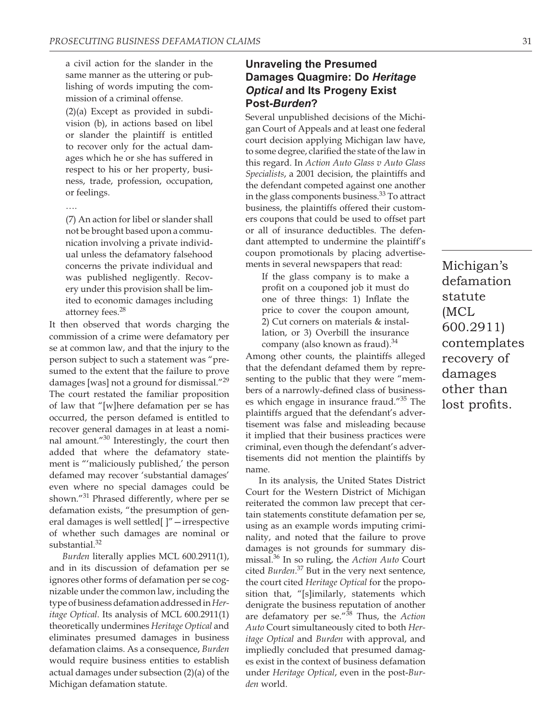a civil action for the slander in the same manner as the uttering or publishing of words imputing the commission of a criminal offense.

(2)(a) Except as provided in subdivision (b), in actions based on libel or slander the plaintiff is entitled to recover only for the actual damages which he or she has suffered in respect to his or her property, business, trade, profession, occupation, or feelings.

….

(7) An action for libel or slander shall not be brought based upon a communication involving a private individual unless the defamatory falsehood concerns the private individual and was published negligently. Recovery under this provision shall be limited to economic damages including attorney fees.<sup>28</sup>

It then observed that words charging the commission of a crime were defamatory per se at common law, and that the injury to the person subject to such a statement was "presumed to the extent that the failure to prove damages [was] not a ground for dismissal."29 The court restated the familiar proposition of law that "[w]here defamation per se has occurred, the person defamed is entitled to recover general damages in at least a nominal amount."<sup>30</sup> Interestingly, the court then added that where the defamatory statement is "'maliciously published,' the person defamed may recover 'substantial damages' even where no special damages could be shown."31 Phrased differently, where per se defamation exists, "the presumption of general damages is well settled[ ]"—irrespective of whether such damages are nominal or substantial.<sup>32</sup>

*Burden* literally applies MCL 600.2911(1), and in its discussion of defamation per se ignores other forms of defamation per se cognizable under the common law, including the type of business defamation addressed in *Heritage Optical*. Its analysis of MCL 600.2911(1) theoretically undermines *Heritage Optical* and eliminates presumed damages in business defamation claims. As a consequence, *Burden* would require business entities to establish actual damages under subsection (2)(a) of the Michigan defamation statute.

### **Unraveling the Presumed Damages Quagmire: Do** *Heritage Optical* **and Its Progeny Exist Post-***Burden***?**

Several unpublished decisions of the Michigan Court of Appeals and at least one federal court decision applying Michigan law have, to some degree, clarified the state of the law in this regard. In *Action Auto Glass v Auto Glass Specialists*, a 2001 decision, the plaintiffs and the defendant competed against one another in the glass components business.<sup>33</sup> To attract business, the plaintiffs offered their customers coupons that could be used to offset part or all of insurance deductibles. The defendant attempted to undermine the plaintiff's coupon promotionals by placing advertisements in several newspapers that read:

If the glass company is to make a profit on a couponed job it must do one of three things: 1) Inflate the price to cover the coupon amount, 2) Cut corners on materials & installation, or 3) Overbill the insurance company (also known as fraud). $34$ 

Among other counts, the plaintiffs alleged that the defendant defamed them by representing to the public that they were "members of a narrowly-defined class of businesses which engage in insurance fraud."35 The plaintiffs argued that the defendant's advertisement was false and misleading because it implied that their business practices were criminal, even though the defendant's advertisements did not mention the plaintiffs by name.

In its analysis, the United States District Court for the Western District of Michigan reiterated the common law precept that certain statements constitute defamation per se, using as an example words imputing criminality, and noted that the failure to prove damages is not grounds for summary dismissal.36 In so ruling, the *Action Auto* Court cited *Burden*. 37 But in the very next sentence, the court cited *Heritage Optical* for the proposition that, "[s]imilarly, statements which denigrate the business reputation of another are defamatory per se."38 Thus, the *Action Auto* Court simultaneously cited to both *Heritage Optical* and *Burden* with approval, and impliedly concluded that presumed damages exist in the context of business defamation under *Heritage Optical*, even in the post-*Burden* world.

Michigan's defamation statute (MCL 600.2911) contemplates recovery of damages other than lost profits.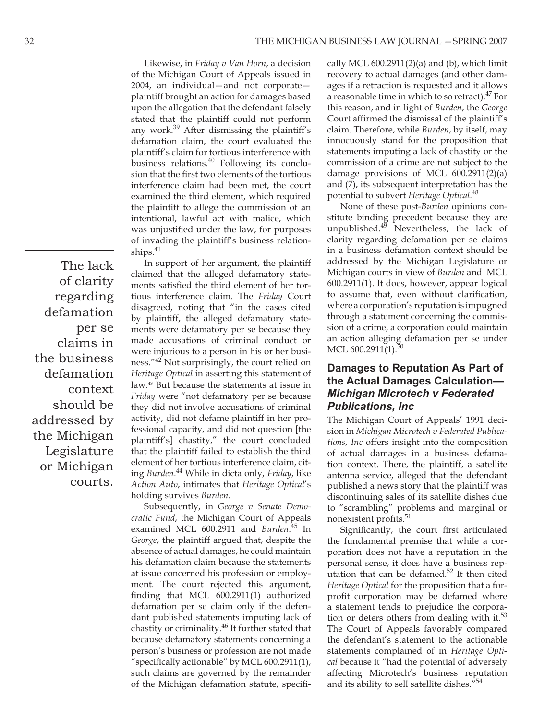The lack of clarity regarding defamation per se claims in the business defamation context should be addressed by the Michigan Legislature or Michigan

courts.

Likewise, in *Friday v Van Horn*, a decision of the Michigan Court of Appeals issued in 2004, an individual—and not corporate plaintiff brought an action for damages based upon the allegation that the defendant falsely stated that the plaintiff could not perform any work.39 After dismissing the plaintiff's defamation claim, the court evaluated the plaintiff's claim for tortious interference with business relations.<sup>40</sup> Following its conclusion that the first two elements of the tortious interference claim had been met, the court examined the third element, which required the plaintiff to allege the commission of an intentional, lawful act with malice, which was unjustified under the law, for purposes of invading the plaintiff's business relationships. $41$ 

In support of her argument, the plaintiff claimed that the alleged defamatory statements satisfied the third element of her tortious interference claim. The *Friday* Court disagreed, noting that "in the cases cited by plaintiff, the alleged defamatory statements were defamatory per se because they made accusations of criminal conduct or were injurious to a person in his or her business."42 Not surprisingly, the court relied on *Heritage Optical* in asserting this statement of law.43 But because the statements at issue in *Friday* were "not defamatory per se because they did not involve accusations of criminal activity, did not defame plaintiff in her professional capacity, and did not question [the plaintiff's] chastity," the court concluded that the plaintiff failed to establish the third element of her tortious interference claim, citing *Burden*. 44 While in dicta only, *Friday*, like *Action Auto*, intimates that *Heritage Optical*'s holding survives *Burden*.

Subsequently, in *George v Senate Democratic Fund*, the Michigan Court of Appeals examined MCL 600.2911 and *Burden*. 45 In *George*, the plaintiff argued that, despite the absence of actual damages, he could maintain his defamation claim because the statements at issue concerned his profession or employment. The court rejected this argument, finding that MCL  $600.2911(1)$  authorized defamation per se claim only if the defendant published statements imputing lack of chastity or criminality.<sup>46</sup> It further stated that because defamatory statements concerning a person's business or profession are not made "specifically actionable" by MCL 600.2911(1), such claims are governed by the remainder of the Michigan defamation statute, specifically MCL  $600.2911(2)$ (a) and (b), which limit recovery to actual damages (and other damages if a retraction is requested and it allows a reasonable time in which to so retract). $47$  For this reason, and in light of *Burden*, the *George*  Court affirmed the dismissal of the plaintiff's claim. Therefore, while *Burden*, by itself, may innocuously stand for the proposition that statements imputing a lack of chastity or the commission of a crime are not subject to the damage provisions of MCL 600.2911(2)(a) and (7), its subsequent interpretation has the potential to subvert *Heritage Optical*. 48

None of these post-*Burden* opinions constitute binding precedent because they are unpublished. $4^{49}$  Nevertheless, the lack of clarity regarding defamation per se claims in a business defamation context should be addressed by the Michigan Legislature or Michigan courts in view of *Burden* and MCL 600.2911(1). It does, however, appear logical to assume that, even without clarification, where a corporation's reputation is impugned through a statement concerning the commission of a crime, a corporation could maintain an action alleging defamation per se under MCL  $600.2911(1).50$ 

#### **Damages to Reputation As Part of the Actual Damages Calculation—** *Michigan Microtech v Federated Publications, Inc*

The Michigan Court of Appeals' 1991 decision in *Michigan Microtech v Federated Publications, Inc* offers insight into the composition of actual damages in a business defamation context. There, the plaintiff, a satellite antenna service, alleged that the defendant published a news story that the plaintiff was discontinuing sales of its satellite dishes due to "scrambling" problems and marginal or nonexistent profits.<sup>51</sup>

Significantly, the court first articulated the fundamental premise that while a corporation does not have a reputation in the personal sense, it does have a business reputation that can be defamed.<sup>52</sup> It then cited *Heritage Optical* for the proposition that a forprofit corporation may be defamed where a statement tends to prejudice the corporation or deters others from dealing with it. $53$ The Court of Appeals favorably compared the defendant's statement to the actionable statements complained of in *Heritage Optical* because it "had the potential of adversely affecting Microtech's business reputation and its ability to sell satellite dishes."<sup>54</sup>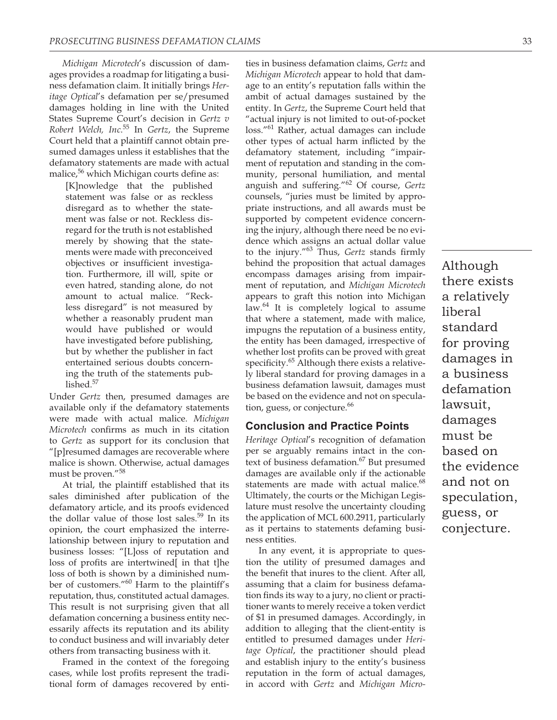*Michigan Microtech*'s discussion of damages provides a roadmap for litigating a business defamation claim. It initially brings *Heritage Optical*'s defamation per se/presumed damages holding in line with the United States Supreme Court's decision in *Gertz v Robert Welch, Inc*. 55 In *Gertz*, the Supreme Court held that a plaintiff cannot obtain presumed damages unless it establishes that the defamatory statements are made with actual malice, $56$  which Michigan courts define as:

[K]nowledge that the published statement was false or as reckless disregard as to whether the statement was false or not. Reckless disregard for the truth is not established merely by showing that the statements were made with preconceived objectives or insufficient investigation. Furthermore, ill will, spite or even hatred, standing alone, do not amount to actual malice. "Reckless disregard" is not measured by whether a reasonably prudent man would have published or would have investigated before publishing, but by whether the publisher in fact entertained serious doubts concerning the truth of the statements published.<sup>57</sup>

Under *Gertz* then, presumed damages are available only if the defamatory statements were made with actual malice. *Michigan Microtech* confirms as much in its citation to *Gertz* as support for its conclusion that "[p]resumed damages are recoverable where malice is shown. Otherwise, actual damages must be proven."<sup>58</sup>

At trial, the plaintiff established that its sales diminished after publication of the defamatory article, and its proofs evidenced the dollar value of those lost sales. $59$  In its opinion, the court emphasized the interrelationship between injury to reputation and business losses: "[L]oss of reputation and loss of profits are intertwined[ in that t]he loss of both is shown by a diminished number of customers."60 Harm to the plaintiff's reputation, thus, constituted actual damages. This result is not surprising given that all defamation concerning a business entity necessarily affects its reputation and its ability to conduct business and will invariably deter others from transacting business with it.

Framed in the context of the foregoing cases, while lost profits represent the traditional form of damages recovered by enti-

ties in business defamation claims, *Gertz* and *Michigan Microtech* appear to hold that damage to an entity's reputation falls within the ambit of actual damages sustained by the entity. In *Gertz*, the Supreme Court held that "actual injury is not limited to out-of-pocket loss."61 Rather, actual damages can include other types of actual harm inflicted by the defamatory statement, including "impairment of reputation and standing in the community, personal humiliation, and mental anguish and suffering."62 Of course, *Gertz*  counsels, "juries must be limited by appropriate instructions, and all awards must be supported by competent evidence concerning the injury, although there need be no evidence which assigns an actual dollar value to the injury."<sup>63</sup> Thus, *Gertz* stands firmly behind the proposition that actual damages encompass damages arising from impairment of reputation, and *Michigan Microtech* appears to graft this notion into Michigan law. $64$  It is completely logical to assume that where a statement, made with malice, impugns the reputation of a business entity, the entity has been damaged, irrespective of whether lost profits can be proved with great specificity.<sup>65</sup> Although there exists a relatively liberal standard for proving damages in a business defamation lawsuit, damages must be based on the evidence and not on speculation, guess, or conjecture.<sup>66</sup>

#### **Conclusion and Practice Points**

*Heritage Optical*'s recognition of defamation per se arguably remains intact in the context of business defamation.<sup>67</sup> But presumed damages are available only if the actionable statements are made with actual malice.<sup>68</sup> Ultimately, the courts or the Michigan Legislature must resolve the uncertainty clouding the application of MCL 600.2911, particularly as it pertains to statements defaming business entities.

In any event, it is appropriate to question the utility of presumed damages and the benefit that inures to the client. After all, assuming that a claim for business defamation finds its way to a jury, no client or practitioner wants to merely receive a token verdict of \$1 in presumed damages. Accordingly, in addition to alleging that the client-entity is entitled to presumed damages under *Heritage Optical*, the practitioner should plead and establish injury to the entity's business reputation in the form of actual damages, in accord with *Gertz* and *Michigan Micro-* Although there exists a relatively liberal standard for proving damages in a business defamation lawsuit, damages must be based on the evidence and not on speculation, guess, or conjecture.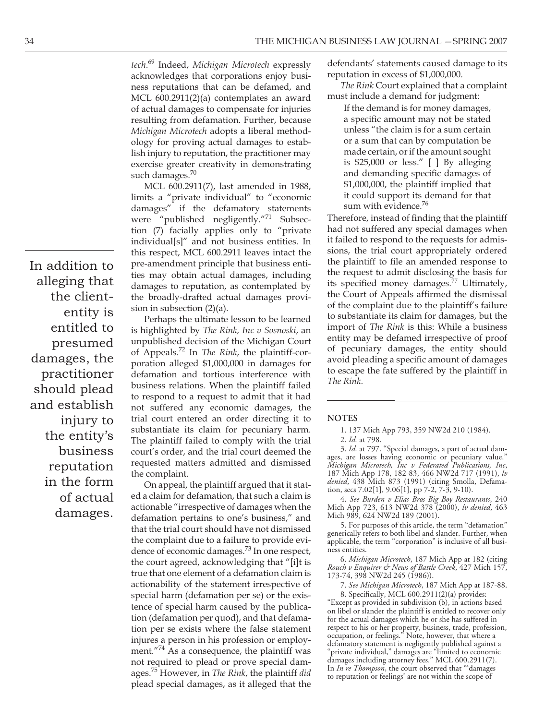*tech*. 69 Indeed, *Michigan Microtech* expressly acknowledges that corporations enjoy business reputations that can be defamed, and MCL 600.2911(2)(a) contemplates an award of actual damages to compensate for injuries resulting from defamation. Further, because *Michigan Microtech* adopts a liberal methodology for proving actual damages to establish injury to reputation, the practitioner may exercise greater creativity in demonstrating such damages.<sup>70</sup>

MCL 600.2911(7), last amended in 1988, limits a "private individual" to "economic damages" if the defamatory statements were "published negligently."71 Subsection (7) facially applies only to "private individual[s]" and not business entities. In this respect, MCL 600.2911 leaves intact the pre-amendment principle that business entities may obtain actual damages, including damages to reputation, as contemplated by the broadly-drafted actual damages provision in subsection (2)(a).

Perhaps the ultimate lesson to be learned is highlighted by *The Rink, Inc v Sosnoski*, an unpublished decision of the Michigan Court of Appeals.72 In *The Rink*, the plaintiff-corporation alleged \$1,000,000 in damages for defamation and tortious interference with business relations. When the plaintiff failed to respond to a request to admit that it had not suffered any economic damages, the trial court entered an order directing it to substantiate its claim for pecuniary harm. The plaintiff failed to comply with the trial court's order, and the trial court deemed the requested matters admitted and dismissed the complaint.

On appeal, the plaintiff argued that it stated a claim for defamation, that such a claim is actionable "irrespective of damages when the defamation pertains to one's business," and that the trial court should have not dismissed the complaint due to a failure to provide evidence of economic damages.<sup>73</sup> In one respect, the court agreed, acknowledging that "[i]t is true that one element of a defamation claim is actionability of the statement irrespective of special harm (defamation per se) or the existence of special harm caused by the publication (defamation per quod), and that defamation per se exists where the false statement injures a person in his profession or employment."<sup>74</sup> As a consequence, the plaintiff was not required to plead or prove special damages.75 However, in *The Rink*, the plaintiff *did* plead special damages, as it alleged that the

defendants' statements caused damage to its reputation in excess of \$1,000,000.

*The Rink* Court explained that a complaint must include a demand for judgment:

If the demand is for money damages, a specific amount may not be stated unless "the claim is for a sum certain or a sum that can by computation be made certain, or if the amount sought is \$25,000 or less." [ ] By alleging and demanding specific damages of \$1,000,000, the plaintiff implied that it could support its demand for that sum with evidence.<sup>76</sup>

Therefore, instead of finding that the plaintiff had not suffered any special damages when it failed to respond to the requests for admissions, the trial court appropriately ordered the plaintiff to file an amended response to the request to admit disclosing the basis for its specified money damages.<sup>77</sup> Ultimately, the Court of Appeals affirmed the dismissal of the complaint due to the plaintiff's failure to substantiate its claim for damages, but the import of *The Rink* is this: While a business entity may be defamed irrespective of proof of pecuniary damages, the entity should avoid pleading a specific amount of damages to escape the fate suffered by the plaintiff in *The Rink*.

#### **NOTES**

3. *Id.* at 797. "Special damages, a part of actual damages, are losses having economic or pecuniary value." *Michigan Microtech, Inc v Federated Publications, Inc*, 187 Mich App 178, 182-83, 466 NW2d 717 (1991), *lv denied*, 438 Mich 873 (1991) (citing Smolla, Defamation, secs 7.02[1], 9.06[1], pp 7-2, 7-3, 9-10).

4. *See Burden v Elias Bros Big Boy Restaurants*, 240 Mich App 723, 613 NW2d 378 (2000), *lv denied*, 463 Mich 989, 624 NW2d 189 (2001).

5. For purposes of this article, the term "defamation" generically refers to both libel and slander. Further, when applicable, the term "corporation" is inclusive of all business entities.

6. *Michigan Microtech*, 187 Mich App at 182 (citing *Rouch v Enquirer & News of Battle Creek*, 427 Mich 157, 173-74, 398 NW2d 245 (1986)).

7. *See Michigan Microtech*, 187 Mich App at 187-88.

8. Specifically, MCL 600.2911(2)(a) provides:

"Except as provided in subdivision (b), in actions based on libel or slander the plaintiff is entitled to recover only for the actual damages which he or she has suffered in respect to his or her property, business, trade, profession, occupation, or feelings." Note, however, that where a defamatory statement is negligently published against a "private individual," damages are "limited to economic damages including attorney fees." MCL 600.2911(7). In *In re Thompson*, the court observed that "'damages to reputation or feelings' are not within the scope of

In addition to alleging that the cliententity is entitled to presumed damages, the practitioner should plead and establish injury to the entity's business reputation in the form of actual damages.

<sup>1. 137</sup> Mich App 793, 359 NW2d 210 (1984).

<sup>2.</sup> *Id.* at 798.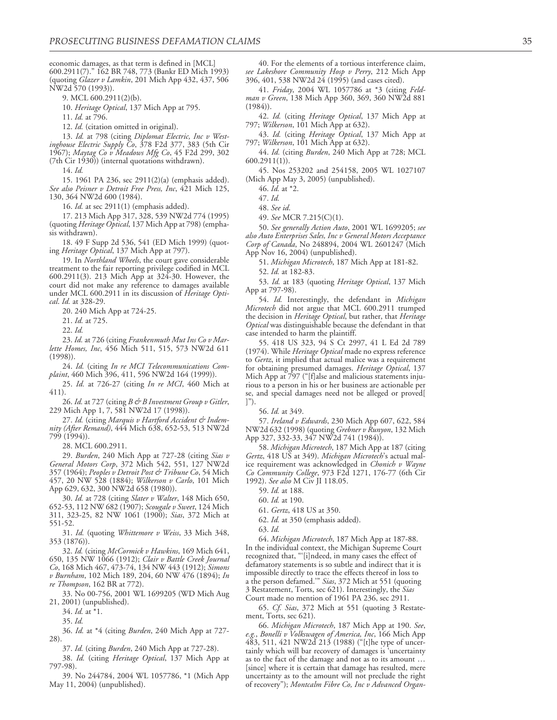economic damages, as that term is defined in [MCL] 600.2911(7)." 162 BR 748, 773 (Bankr ED Mich 1993) (quoting *Glazer v Lamkin*, 201 Mich App 432, 437, 506 NW2d 570 (1993)).

9. MCL 600.2911(2)(b).

10. *Heritage Optical*, 137 Mich App at 795.

11. *Id.* at 796.

12. *Id.* (citation omitted in original).

13. *Id.* at 798 (citing *Diplomat Electric, Inc v Westinghouse Electric Supply Co*, 378 F2d 377, 383 (5th Cir 1967); *Maytag Co v Meadows Mfg Co*, 45 F2d 299, 302 (7th Cir 1930)) (internal quotations withdrawn).

14. *Id.*

15. 1961 PA 236, sec 2911(2)(a) (emphasis added). *See also Peisner v Detroit Free Press, Inc*, 421 Mich 125, 130, 364 NW2d 600 (1984).

16. *Id.* at sec 2911(1) (emphasis added).

17. 213 Mich App 317, 328, 539 NW2d 774 (1995) (quoting *Heritage Optical*, 137 Mich App at 798) (emphasis withdrawn).

18. 49 F Supp 2d 536, 541 (ED Mich 1999) (quoting *Heritage Optical*, 137 Mich App at 797).

19. In *Northland Wheels*, the court gave considerable treatment to the fair reporting privilege codified in MCL 600.2911(3). 213 Mich App at 324-30. However, the court did not make any reference to damages available under MCL 600.2911 in its discussion of *Heritage Optical*. *Id.* at 328-29.

20. 240 Mich App at 724-25.

21. *Id.* at 725.

22. *Id.*

23. *Id.* at 726 (citing *Frankenmuth Mut Ins Co v Marlette Homes, Inc*, 456 Mich 511, 515, 573 NW2d 611  $(1998)$ 

24. *Id.* (citing *In re MCI Telecommunications Complaint*, 460 Mich 396, 411, 596 NW2d 164 (1999)).

25. *Id.* at 726-27 (citing *In re MCI*, 460 Mich at 411).

26. *Id.* at 727 (citing *B & B Investment Group v Gitler*, 229 Mich App 1, 7, 581 NW2d 17 (1998)).

27. *Id.* (citing *Marquis v Hartford Accident & Indemnity (After Remand)*, 444 Mich 638, 652-53, 513 NW2d 799 (1994)).

28. MCL 600.2911.

29. *Burden*, 240 Mich App at 727-28 (citing *Sias v General Motors Corp*, 372 Mich 542, 551, 127 NW2d 357 (1964); *Peoples v Detroit Post & Tribune Co*, 54 Mich 457, 20 NW 528 (1884); *Wilkerson v Carlo*, 101 Mich App 629, 632, 300 NW2d 658 (1980)).

30. *Id.* at 728 (citing *Slater v Walter*, 148 Mich 650, 652-53, 112 NW 682 (1907); *Scougale v Sweet*, 124 Mich 311, 323-25, 82 NW 1061 (1900); *Sias*, 372 Mich at 551-52.

31. *Id.* (quoting *Whittemore v Weiss*, 33 Mich 348, 353 (1876)).

32. *Id.* (citing *McCormick v Hawkins*, 169 Mich 641, 650, 135 NW 1066 (1912); *Clair v Battle Creek Journal Co*, 168 Mich 467, 473-74, 134 NW 443 (1912); *Simons v Burnham*, 102 Mich 189, 204, 60 NW 476 (1894); *In re Thompson*, 162 BR at 772).

33. No 00-756, 2001 WL 1699205 (WD Mich Aug 21, 2001) (unpublished).

- 34. *Id.* at \*1.
- 35. *Id.*

36. *Id.* at \*4 (citing *Burden*, 240 Mich App at 727-

28).

37. *Id.* (citing *Burden*, 240 Mich App at 727-28).

38. *Id.* (citing *Heritage Optical*, 137 Mich App at 797-98).

39. No 244784, 2004 WL 1057786, \*1 (Mich App May 11, 2004) (unpublished).

40. For the elements of a tortious interference claim, *see Lakeshore Community Hosp v Perry*, 212 Mich App 396, 401, 538 NW2d 24 (1995) (and cases cited).

41. *Friday*, 2004 WL 1057786 at \*3 (citing *Feldman v Green*, 138 Mich App 360, 369, 360 NW2d 881 (1984)).

42. *Id.* (citing *Heritage Optical*, 137 Mich App at 797; *Wilkerson*, 101 Mich App at 632).

43. *Id.* (citing *Heritage Optical*, 137 Mich App at 797; *Wilkerson*, 101 Mich App at 632).

44. *Id.* (citing *Burden*, 240 Mich App at 728; MCL 600.2911(1)).

45. Nos 253202 and 254158, 2005 WL 1027107 (Mich App May 3, 2005) (unpublished).

46. *Id.* at \*2.

47. *Id.*

48. *See id*.

49. *See* MCR 7.215(C)(1).

50. *See generally Action Auto*, 2001 WL 1699205; *see also Auto Enterprises Sales, Inc v General Motors Acceptance Corp of Canada*, No 248894, 2004 WL 2601247 (Mich App Nov 16, 2004) (unpublished).

51. *Michigan Microtech*, 187 Mich App at 181-82.

52. *Id.* at 182-83.

53. *Id.* at 183 (quoting *Heritage Optical*, 137 Mich App at 797-98).

54. *Id.* Interestingly, the defendant in *Michigan Microtech* did not argue that MCL 600.2911 trumped the decision in *Heritage Optical*, but rather, that *Heritage Optical* was distinguishable because the defendant in that case intended to harm the plaintiff.

55. 418 US 323, 94 S Ct 2997, 41 L Ed 2d 789 (1974). While *Heritage Optical* made no express reference to *Gertz*, it implied that actual malice was a requirement for obtaining presumed damages. *Heritage Optical*, 137 Mich App at 797 ("[f]alse and malicious statements injurious to a person in his or her business are actionable per se, and special damages need not be alleged or proved[ ]").

56. *Id.* at 349.

57. *Ireland v Edwards*, 230 Mich App 607, 622, 584 NW2d 632 (1998) (quoting *Grebner v Runyon*, 132 Mich App 327, 332-33, 347 NW2d 741 (1984)).

58. *Michigan Microtech*, 187 Mich App at 187 (citing *Gertz*, 418 US at 349). *Michigan Microtech*'s actual malice requirement was acknowledged in *Chonich v Wayne Co Community College*, 973 F2d 1271, 176-77 (6th Cir 1992). *See also* M Civ JI 118.05.

59. *Id.* at 188.

60. *Id.* at 190.

61. *Gertz*, 418 US at 350.

- 62. *Id.* at 350 (emphasis added).
- 63. *Id.*

64. *Michigan Microtech*, 187 Mich App at 187-88. In the individual context, the Michigan Supreme Court recognized that, "'[i]ndeed, in many cases the effect of defamatory statements is so subtle and indirect that it is impossible directly to trace the effects thereof in loss to a the person defamed.'" *Sias*, 372 Mich at 551 (quoting 3 Restatement, Torts, sec 621). Interestingly, the *Sias* Court made no mention of 1961 PA 236, sec 2911.

65. *Cf. Sias*, 372 Mich at 551 (quoting 3 Restatement, Torts, sec 621).

66. *Michigan Microtech*, 187 Mich App at 190. *See*, *e.g.*, *Bonelli v Volkswagen of America, Inc*, 166 Mich App 483, 511, 421 NW2d 213 (1988) ("[t]he type of uncertainly which will bar recovery of damages is 'uncertainty as to the fact of the damage and not as to its amount … [since] where it is certain that damage has resulted, mere uncertainty as to the amount will not preclude the right of recovery"); *Montcalm Fibre Co, Inc v Advanced Organ-*